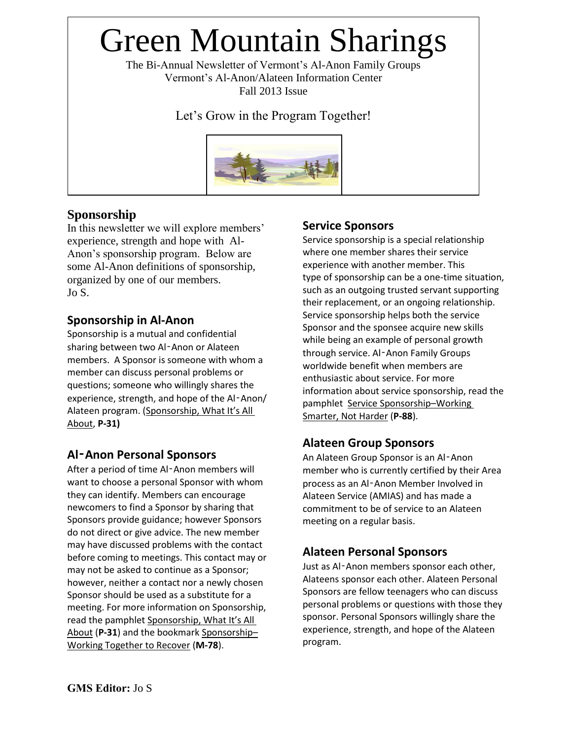# Green Mountain Sharings

The Bi-Annual Newsletter of Vermont's Al-Anon Family Groups Vermont's Al-Anon/Alateen Information Center Fall 2013 Issue

Let's Grow in the Program Together!



## **Sponsorship**

In this newsletter we will explore members' experience, strength and hope with Al-Anon's sponsorship program. Below are some Al-Anon definitions of sponsorship, organized by one of our members. Jo S.

## **Sponsorship in Al-Anon**

Sponsorship is a mutual and confidential sharing between two Al‑Anon or Alateen members. A Sponsor is someone with whom a member can discuss personal problems or questions; someone who willingly shares the experience, strength, and hope of the Al-Anon/ Alateen program. (Sponsorship, What It's All About, **P-31)**

## **Al**‑**Anon Personal Sponsors**

After a period of time Al-Anon members will want to choose a personal Sponsor with whom they can identify. Members can encourage newcomers to find a Sponsor by sharing that Sponsors provide guidance; however Sponsors do not direct or give advice. The new member may have discussed problems with the contact before coming to meetings. This contact may or may not be asked to continue as a Sponsor; however, neither a contact nor a newly chosen Sponsor should be used as a substitute for a meeting. For more information on Sponsorship, read the pamphlet Sponsorship, What It's All About (**P-31**) and the bookmark Sponsorship– Working Together to Recover (**M-78**).

## **Service Sponsors**

Service sponsorship is a special relationship where one member shares their service experience with another member. This type of sponsorship can be a one-time situation, such as an outgoing trusted servant supporting their replacement, or an ongoing relationship. Service sponsorship helps both the service Sponsor and the sponsee acquire new skills while being an example of personal growth through service. Al‑Anon Family Groups worldwide benefit when members are enthusiastic about service. For more information about service sponsorship, read the pamphlet Service Sponsorship–Working Smarter, Not Harder (**P-88**).

## **Alateen Group Sponsors**

An Alateen Group Sponsor is an Al‑Anon member who is currently certified by their Area process as an Al‑Anon Member Involved in Alateen Service (AMIAS) and has made a commitment to be of service to an Alateen meeting on a regular basis.

## **Alateen Personal Sponsors**

Just as Al‑Anon members sponsor each other, Alateens sponsor each other. Alateen Personal Sponsors are fellow teenagers who can discuss personal problems or questions with those they sponsor. Personal Sponsors willingly share the experience, strength, and hope of the Alateen program.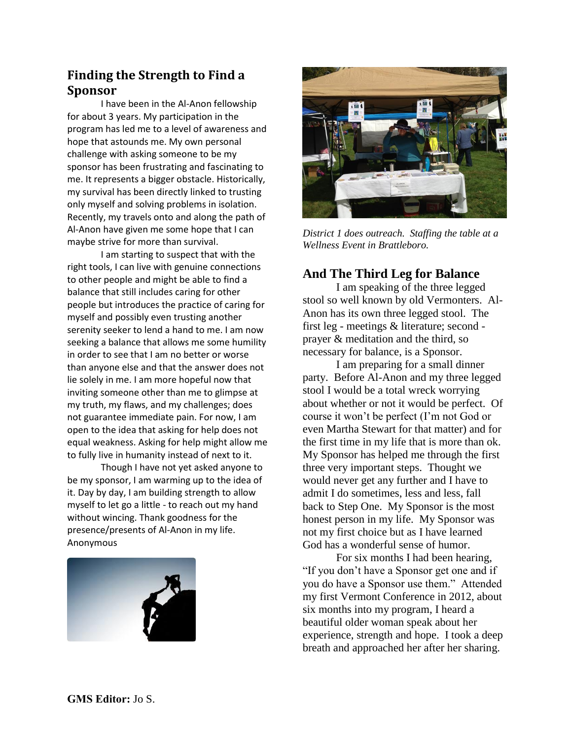## **Finding the Strength to Find a Sponsor**

I have been in the Al-Anon fellowship for about 3 years. My participation in the program has led me to a level of awareness and hope that astounds me. My own personal challenge with asking someone to be my sponsor has been frustrating and fascinating to me. It represents a bigger obstacle. Historically, my survival has been directly linked to trusting only myself and solving problems in isolation. Recently, my travels onto and along the path of Al-Anon have given me some hope that I can maybe strive for more than survival.

I am starting to suspect that with the right tools, I can live with genuine connections to other people and might be able to find a balance that still includes caring for other people but introduces the practice of caring for myself and possibly even trusting another serenity seeker to lend a hand to me. I am now seeking a balance that allows me some humility in order to see that I am no better or worse than anyone else and that the answer does not lie solely in me. I am more hopeful now that inviting someone other than me to glimpse at my truth, my flaws, and my challenges; does not guarantee immediate pain. For now, I am open to the idea that asking for help does not equal weakness. Asking for help might allow me to fully live in humanity instead of next to it.

Though I have not yet asked anyone to be my sponsor, I am warming up to the idea of it. Day by day, I am building strength to allow myself to let go a little - to reach out my hand without wincing. Thank goodness for the presence/presents of Al-Anon in my life. Anonymous





*District 1 does outreach. Staffing the table at a Wellness Event in Brattleboro.* 

## **And The Third Leg for Balance**

I am speaking of the three legged stool so well known by old Vermonters. Al-Anon has its own three legged stool. The first leg - meetings & literature; second prayer & meditation and the third, so necessary for balance, is a Sponsor.

I am preparing for a small dinner party. Before Al-Anon and my three legged stool I would be a total wreck worrying about whether or not it would be perfect. Of course it won't be perfect (I'm not God or even Martha Stewart for that matter) and for the first time in my life that is more than ok. My Sponsor has helped me through the first three very important steps. Thought we would never get any further and I have to admit I do sometimes, less and less, fall back to Step One. My Sponsor is the most honest person in my life. My Sponsor was not my first choice but as I have learned God has a wonderful sense of humor.

For six months I had been hearing, "If you don't have a Sponsor get one and if you do have a Sponsor use them." Attended my first Vermont Conference in 2012, about six months into my program, I heard a beautiful older woman speak about her experience, strength and hope. I took a deep breath and approached her after her sharing.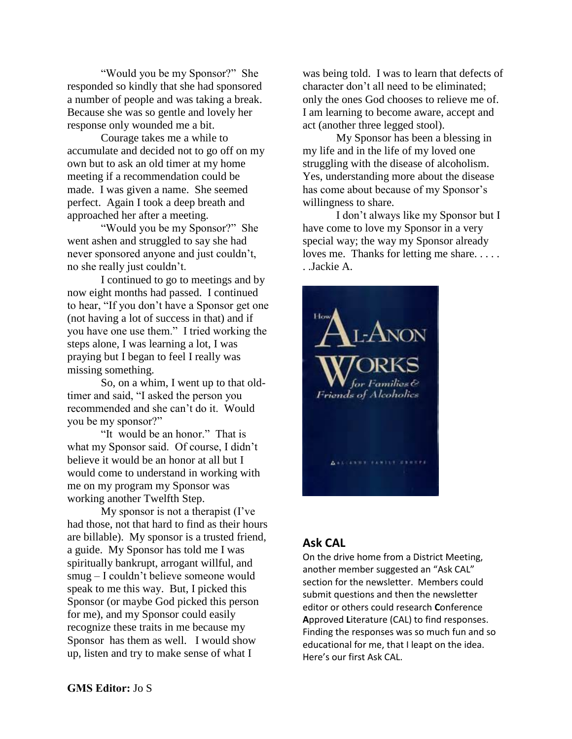"Would you be my Sponsor?" She responded so kindly that she had sponsored a number of people and was taking a break. Because she was so gentle and lovely her response only wounded me a bit.

Courage takes me a while to accumulate and decided not to go off on my own but to ask an old timer at my home meeting if a recommendation could be made. I was given a name. She seemed perfect. Again I took a deep breath and approached her after a meeting.

"Would you be my Sponsor?" She went ashen and struggled to say she had never sponsored anyone and just couldn't, no she really just couldn't.

I continued to go to meetings and by now eight months had passed. I continued to hear, "If you don't have a Sponsor get one (not having a lot of success in that) and if you have one use them." I tried working the steps alone, I was learning a lot, I was praying but I began to feel I really was missing something.

So, on a whim, I went up to that oldtimer and said, "I asked the person you recommended and she can't do it. Would you be my sponsor?"

"It would be an honor." That is what my Sponsor said. Of course, I didn't believe it would be an honor at all but I would come to understand in working with me on my program my Sponsor was working another Twelfth Step.

My sponsor is not a therapist (I've had those, not that hard to find as their hours are billable). My sponsor is a trusted friend, a guide. My Sponsor has told me I was spiritually bankrupt, arrogant willful, and smug – I couldn't believe someone would speak to me this way. But, I picked this Sponsor (or maybe God picked this person for me), and my Sponsor could easily recognize these traits in me because my Sponsor has them as well. I would show up, listen and try to make sense of what I

was being told. I was to learn that defects of character don't all need to be eliminated; only the ones God chooses to relieve me of. I am learning to become aware, accept and act (another three legged stool).

My Sponsor has been a blessing in my life and in the life of my loved one struggling with the disease of alcoholism. Yes, understanding more about the disease has come about because of my Sponsor's willingness to share.

I don't always like my Sponsor but I have come to love my Sponsor in a very special way; the way my Sponsor already loves me. Thanks for letting me share..... . .Jackie A.



#### **Ask CAL**

On the drive home from a District Meeting, another member suggested an "Ask CAL" section for the newsletter. Members could submit questions and then the newsletter editor or others could research **C**onference **A**pproved **L**iterature (CAL) to find responses. Finding the responses was so much fun and so educational for me, that I leapt on the idea. Here's our first Ask CAL.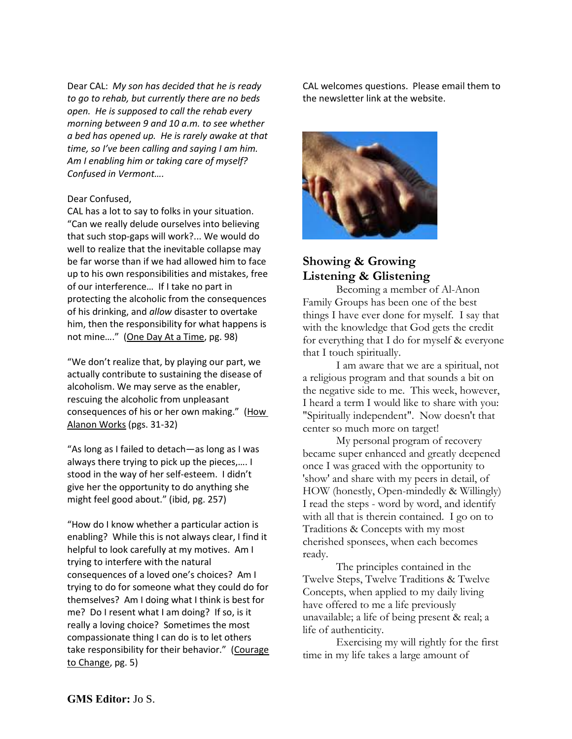Dear CAL: *My son has decided that he is ready to go to rehab, but currently there are no beds open. He is supposed to call the rehab every morning between 9 and 10 a.m. to see whether a bed has opened up. He is rarely awake at that time, so I've been calling and saying I am him. Am I enabling him or taking care of myself? Confused in Vermont….*

#### Dear Confused,

CAL has a lot to say to folks in your situation. "Can we really delude ourselves into believing that such stop-gaps will work?... We would do well to realize that the inevitable collapse may be far worse than if we had allowed him to face up to his own responsibilities and mistakes, free of our interference… If I take no part in protecting the alcoholic from the consequences of his drinking, and *allow* disaster to overtake him, then the responsibility for what happens is not mine…." (One Day At a Time, pg. 98)

"We don't realize that, by playing our part, we actually contribute to sustaining the disease of alcoholism. We may serve as the enabler, rescuing the alcoholic from unpleasant consequences of his or her own making." (How Alanon Works (pgs. 31-32)

"As long as I failed to detach—as long as I was always there trying to pick up the pieces,…. I stood in the way of her self-esteem. I didn't give her the opportunity to do anything she might feel good about." (ibid, pg. 257)

"How do I know whether a particular action is enabling? While this is not always clear, I find it helpful to look carefully at my motives. Am I trying to interfere with the natural consequences of a loved one's choices? Am I trying to do for someone what they could do for themselves? Am I doing what I think is best for me? Do I resent what I am doing? If so, is it really a loving choice? Sometimes the most compassionate thing I can do is to let others take responsibility for their behavior." (Courage to Change, pg. 5)

CAL welcomes questions. Please email them to the newsletter link at the website.



#### **Showing & Growing Listening & Glistening**

Becoming a member of Al-Anon Family Groups has been one of the best things I have ever done for myself. I say that with the knowledge that God gets the credit for everything that I do for myself & everyone that I touch spiritually.

I am aware that we are a spiritual, not a religious program and that sounds a bit on the negative side to me. This week, however, I heard a term I would like to share with you: "Spiritually independent". Now doesn't that center so much more on target!

My personal program of recovery became super enhanced and greatly deepened once I was graced with the opportunity to 'show' and share with my peers in detail, of HOW (honestly, Open-mindedly & Willingly) I read the steps - word by word, and identify with all that is therein contained. I go on to Traditions & Concepts with my most cherished sponsees, when each becomes ready.

The principles contained in the Twelve Steps, Twelve Traditions & Twelve Concepts, when applied to my daily living have offered to me a life previously unavailable; a life of being present & real; a life of authenticity.

Exercising my will rightly for the first time in my life takes a large amount of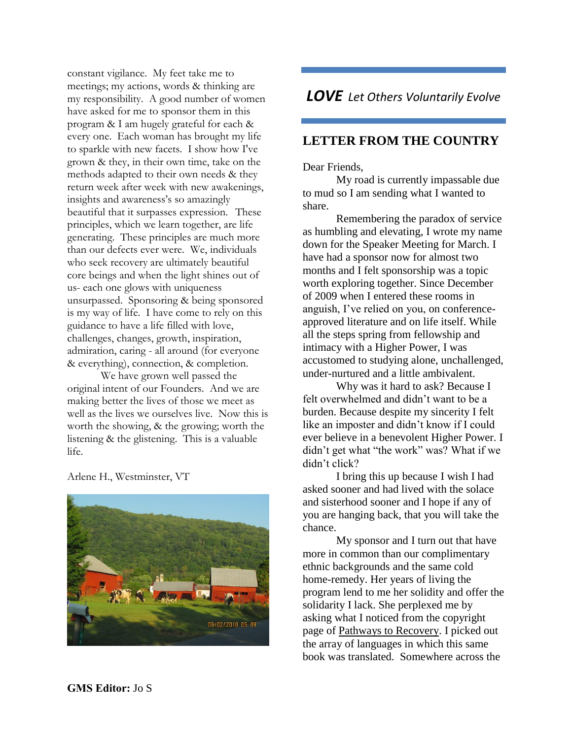constant vigilance. My feet take me to meetings; my actions, words & thinking are my responsibility. A good number of women have asked for me to sponsor them in this program & I am hugely grateful for each & every one. Each woman has brought my life to sparkle with new facets. I show how I've grown & they, in their own time, take on the methods adapted to their own needs & they return week after week with new awakenings, insights and awareness's so amazingly beautiful that it surpasses expression. These principles, which we learn together, are life generating. These principles are much more than our defects ever were. We, individuals who seek recovery are ultimately beautiful core beings and when the light shines out of us- each one glows with uniqueness unsurpassed. Sponsoring & being sponsored is my way of life. I have come to rely on this guidance to have a life filled with love, challenges, changes, growth, inspiration, admiration, caring - all around (for everyone & everything), connection, & completion.

We have grown well passed the original intent of our Founders. And we are making better the lives of those we meet as well as the lives we ourselves live. Now this is worth the showing, & the growing; worth the listening & the glistening. This is a valuable life.

Arlene H., Westminster, VT



# *LOVE Let Others Voluntarily Evolve*

## **LETTER FROM THE COUNTRY**

Dear Friends,

My road is currently impassable due to mud so I am sending what I wanted to share.

Remembering the paradox of service as humbling and elevating, I wrote my name down for the Speaker Meeting for March. I have had a sponsor now for almost two months and I felt sponsorship was a topic worth exploring together. Since December of 2009 when I entered these rooms in anguish, I've relied on you, on conferenceapproved literature and on life itself. While all the steps spring from fellowship and intimacy with a Higher Power, I was accustomed to studying alone, unchallenged, under-nurtured and a little ambivalent.

Why was it hard to ask? Because I felt overwhelmed and didn't want to be a burden. Because despite my sincerity I felt like an imposter and didn't know if I could ever believe in a benevolent Higher Power. I didn't get what "the work" was? What if we didn't click?

I bring this up because I wish I had asked sooner and had lived with the solace and sisterhood sooner and I hope if any of you are hanging back, that you will take the chance.

My sponsor and I turn out that have more in common than our complimentary ethnic backgrounds and the same cold home-remedy. Her years of living the program lend to me her solidity and offer the solidarity I lack. She perplexed me by asking what I noticed from the copyright page of Pathways to Recovery. I picked out the array of languages in which this same book was translated. Somewhere across the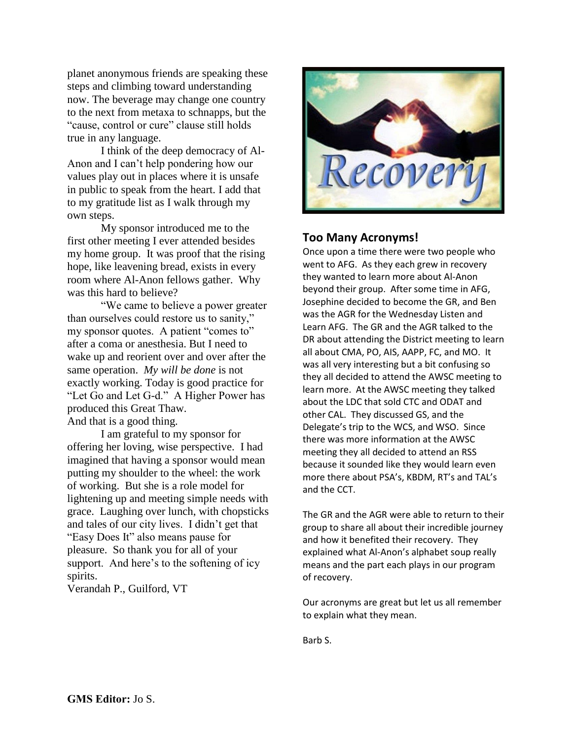planet anonymous friends are speaking these steps and climbing toward understanding now. The beverage may change one country to the next from metaxa to schnapps, but the "cause, control or cure" clause still holds true in any language.

I think of the deep democracy of Al-Anon and I can't help pondering how our values play out in places where it is unsafe in public to speak from the heart. I add that to my gratitude list as I walk through my own steps.

My sponsor introduced me to the first other meeting I ever attended besides my home group. It was proof that the rising hope, like leavening bread, exists in every room where Al-Anon fellows gather. Why was this hard to believe?

"We came to believe a power greater than ourselves could restore us to sanity," my sponsor quotes. A patient "comes to" after a coma or anesthesia. But I need to wake up and reorient over and over after the same operation. *My will be done* is not exactly working. Today is good practice for "Let Go and Let G-d." A Higher Power has produced this Great Thaw. And that is a good thing.

I am grateful to my sponsor for offering her loving, wise perspective. I had imagined that having a sponsor would mean putting my shoulder to the wheel: the work of working. But she is a role model for lightening up and meeting simple needs with grace. Laughing over lunch, with chopsticks and tales of our city lives. I didn't get that "Easy Does It" also means pause for pleasure. So thank you for all of your support. And here's to the softening of icy spirits.

Verandah P., Guilford, VT



#### **Too Many Acronyms!**

Once upon a time there were two people who went to AFG. As they each grew in recovery they wanted to learn more about Al-Anon beyond their group. After some time in AFG, Josephine decided to become the GR, and Ben was the AGR for the Wednesday Listen and Learn AFG. The GR and the AGR talked to the DR about attending the District meeting to learn all about CMA, PO, AIS, AAPP, FC, and MO. It was all very interesting but a bit confusing so they all decided to attend the AWSC meeting to learn more. At the AWSC meeting they talked about the LDC that sold CTC and ODAT and other CAL. They discussed GS, and the Delegate's trip to the WCS, and WSO. Since there was more information at the AWSC meeting they all decided to attend an RSS because it sounded like they would learn even more there about PSA's, KBDM, RT's and TAL's and the CCT.

The GR and the AGR were able to return to their group to share all about their incredible journey and how it benefited their recovery. They explained what Al-Anon's alphabet soup really means and the part each plays in our program of recovery.

Our acronyms are great but let us all remember to explain what they mean.

Barb S.